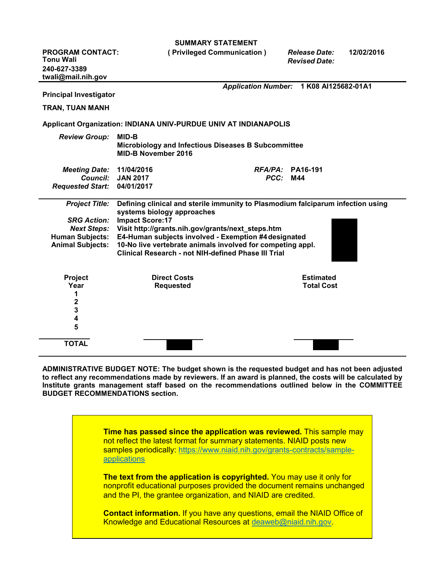|                                             | <b>SUMMARY STATEMENT</b>                                                                                                 |                 |                                         |            |
|---------------------------------------------|--------------------------------------------------------------------------------------------------------------------------|-----------------|-----------------------------------------|------------|
| <b>PROGRAM CONTACT:</b><br><b>Tonu Wali</b> | (Privileged Communication)                                                                                               |                 | <b>Release Date:</b>                    | 12/02/2016 |
| 240-627-3389                                |                                                                                                                          |                 | <b>Revised Date:</b>                    |            |
| twali@mail.nih.gov                          |                                                                                                                          |                 |                                         |            |
|                                             |                                                                                                                          |                 | Application Number: 1 K08 Al125682-01A1 |            |
| <b>Principal Investigator</b>               |                                                                                                                          |                 |                                         |            |
| <b>TRAN, TUAN MANH</b>                      |                                                                                                                          |                 |                                         |            |
|                                             | Applicant Organization: INDIANA UNIV-PURDUE UNIV AT INDIANAPOLIS                                                         |                 |                                         |            |
| <b>Review Group:</b>                        | MID-B<br>Microbiology and Infectious Diseases B Subcommittee                                                             |                 |                                         |            |
|                                             | <b>MID-B November 2016</b>                                                                                               |                 |                                         |            |
| <b>Meeting Date:</b>                        | 11/04/2016                                                                                                               |                 | $RFA/PA$ : PA16-191                     |            |
| <b>Council:</b>                             | <b>JAN 2017</b>                                                                                                          | <b>PCC: M44</b> |                                         |            |
| <b>Requested Start:</b>                     | 04/01/2017                                                                                                               |                 |                                         |            |
| <b>Project Title:</b>                       | Defining clinical and sterile immunity to Plasmodium falciparum infection using<br>systems biology approaches            |                 |                                         |            |
| <b>SRG Action:</b>                          | <b>Impact Score:17</b>                                                                                                   |                 |                                         |            |
| <b>Next Steps:</b>                          | Visit http://grants.nih.gov/grants/next_steps.htm                                                                        |                 |                                         |            |
| <b>Human Subjects:</b>                      | E4-Human subjects involved - Exemption #4 designated                                                                     |                 |                                         |            |
| <b>Animal Subjects:</b>                     | 10-No live vertebrate animals involved for competing appl.<br><b>Clinical Research - not NIH-defined Phase III Trial</b> |                 |                                         |            |
| Project                                     | <b>Direct Costs</b>                                                                                                      |                 | <b>Estimated</b>                        |            |
| Year                                        | <b>Requested</b>                                                                                                         |                 | <b>Total Cost</b>                       |            |
| 1                                           |                                                                                                                          |                 |                                         |            |
| 2                                           |                                                                                                                          |                 |                                         |            |
| 3                                           |                                                                                                                          |                 |                                         |            |
| 4                                           |                                                                                                                          |                 |                                         |            |
| 5                                           |                                                                                                                          |                 |                                         |            |
| <b>TOTAL</b>                                |                                                                                                                          |                 |                                         |            |
|                                             |                                                                                                                          |                 |                                         |            |

**ADMINISTRATIVE BUDGET NOTE: The budget shown is the requested budget and has not been adjusted to reflect any recommendations made by reviewers. If an award is planned, the costs will be calculated by Institute grants management staff based on the recommendations outlined below in the COMMITTEE BUDGET RECOMMENDATIONS section.**

> **Time has passed since the application was reviewed.** This sample may not reflect the latest format for summary statements. NIAID posts new samples periodically: [https://www.niaid.nih.gov/grants-contracts/sample](https://www.niaid.nih.gov/grants-contracts/sample-applications)[applications](https://www.niaid.nih.gov/grants-contracts/sample-applications)

**The text from the application is copyrighted.** You may use it only for nonprofit educational purposes provided the document remains unchanged and the PI, the grantee organization, and NIAID are credited.

**Contact information.** If you have any questions, email the NIAID Office of Knowledge and Educational Resources at [deaweb@niaid.nih.gov.](mailto:deaweb@niaid.nih.gov)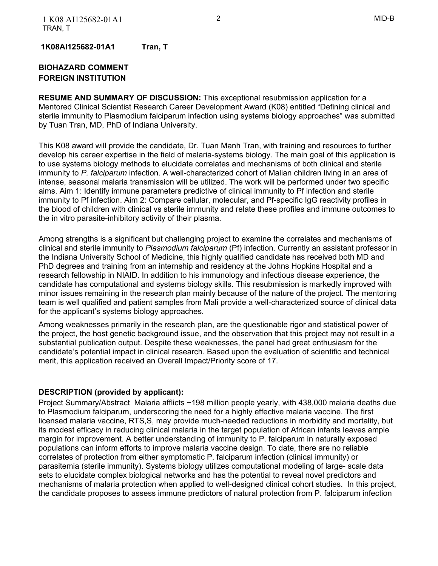**1K08AI125682-01A1 Tran, T** 

## **BIOHAZARD COMMENT FOREIGN INSTITUTION**

 **RESUME AND SUMMARY OF DISCUSSION:** This exceptional resubmission application for a Mentored Clinical Scientist Research Career Development Award (K08) entitled "Defining clinical and sterile immunity to Plasmodium falciparum infection using systems biology approaches" was submitted by Tuan Tran, MD, PhD of Indiana University.

 This K08 award will provide the candidate, Dr. Tuan Manh Tran, with training and resources to further develop his career expertise in the field of malaria-systems biology. The main goal of this application is to use systems biology methods to elucidate correlates and mechanisms of both clinical and sterile immunity to *P. falciparum* infection. A well-characterized cohort of Malian children living in an area of intense, seasonal malaria transmission will be utilized. The work will be performed under two specific aims. Aim 1: Identify immune parameters predictive of clinical immunity to Pf infection and sterile immunity to Pf infection. Aim 2: Compare cellular, molecular, and Pf-specific IgG reactivity profiles in the blood of children with clinical vs sterile immunity and relate these profiles and immune outcomes to the in vitro parasite-inhibitory activity of their plasma.

 Among strengths is a significant but challenging project to examine the correlates and mechanisms of clinical and sterile immunity to *Plasmodium falciparum* (Pf) infection. Currently an assistant professor in the Indiana University School of Medicine, this highly qualified candidate has received both MD and PhD degrees and training from an internship and residency at the Johns Hopkins Hospital and a research fellowship in NIAID. In addition to his immunology and infectious disease experience, the candidate has computational and systems biology skills. This resubmission is markedly improved with minor issues remaining in the research plan mainly because of the nature of the project. The mentoring team is well qualified and patient samples from Mali provide a well-characterized source of clinical data for the applicant's systems biology approaches.

 Among weaknesses primarily in the research plan, are the questionable rigor and statistical power of the project, the host genetic background issue, and the observation that this project may not result in a substantial publication output. Despite these weaknesses, the panel had great enthusiasm for the candidate's potential impact in clinical research. Based upon the evaluation of scientific and technical merit, this application received an Overall Impact/Priority score of 17.

## **DESCRIPTION (provided by applicant):**

 Project Summary/Abstract Malaria afflicts ~198 million people yearly, with 438,000 malaria deaths due to Plasmodium falciparum, underscoring the need for a highly effective malaria vaccine. The first licensed malaria vaccine, RTS,S, may provide much-needed reductions in morbidity and mortality, but its modest efficacy in reducing clinical malaria in the target population of African infants leaves ample margin for improvement. A better understanding of immunity to P. falciparum in naturally exposed populations can inform efforts to improve malaria vaccine design. To date, there are no reliable correlates of protection from either symptomatic P. falciparum infection (clinical immunity) or parasitemia (sterile immunity). Systems biology utilizes computational modeling of large- scale data sets to elucidate complex biological networks and has the potential to reveal novel predictors and mechanisms of malaria protection when applied to well-designed clinical cohort studies. In this project, the candidate proposes to assess immune predictors of natural protection from P. falciparum infection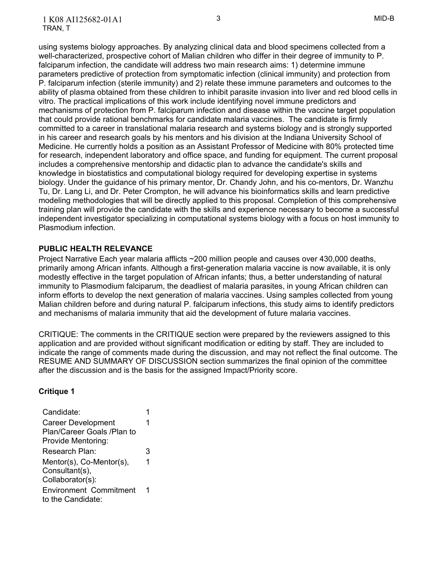using systems biology approaches. By analyzing clinical data and blood specimens collected from a well-characterized, prospective cohort of Malian children who differ in their degree of immunity to P. falciparum infection, the candidate will address two main research aims: 1) determine immune parameters predictive of protection from symptomatic infection (clinical immunity) and protection from P. falciparum infection (sterile immunity) and 2) relate these immune parameters and outcomes to the ability of plasma obtained from these children to inhibit parasite invasion into liver and red blood cells in vitro. The practical implications of this work include identifying novel immune predictors and mechanisms of protection from P. falciparum infection and disease within the vaccine target population that could provide rational benchmarks for candidate malaria vaccines. The candidate is firmly committed to a career in translational malaria research and systems biology and is strongly supported in his career and research goals by his mentors and his division at the Indiana University School of Medicine. He currently holds a position as an Assistant Professor of Medicine with 80% protected time for research, independent laboratory and office space, and funding for equipment. The current proposal includes a comprehensive mentorship and didactic plan to advance the candidate's skills and knowledge in biostatistics and computational biology required for developing expertise in systems biology. Under the guidance of his primary mentor, Dr. Chandy John, and his co-mentors, Dr. Wanzhu Tu, Dr. Lang Li, and Dr. Peter Crompton, he will advance his bioinformatics skills and learn predictive modeling methodologies that will be directly applied to this proposal. Completion of this comprehensive training plan will provide the candidate with the skills and experience necessary to become a successful independent investigator specializing in computational systems biology with a focus on host immunity to Plasmodium infection.

### **PUBLIC HEALTH RELEVANCE**

 Project Narrative Each year malaria afflicts ~200 million people and causes over 430,000 deaths, primarily among African infants. Although a first-generation malaria vaccine is now available, it is only modestly effective in the target population of African infants; thus, a better understanding of natural immunity to Plasmodium falciparum, the deadliest of malaria parasites, in young African children can inform efforts to develop the next generation of malaria vaccines. Using samples collected from young Malian children before and during natural P. falciparum infections, this study aims to identify predictors and mechanisms of malaria immunity that aid the development of future malaria vaccines.

 CRITIQUE: The comments in the CRITIQUE section were prepared by the reviewers assigned to this application and are provided without significant modification or editing by staff. They are included to indicate the range of comments made during the discussion, and may not reflect the final outcome. The RESUME AND SUMMARY OF DISCUSSION section summarizes the final opinion of the committee after the discussion and is the basis for the assigned Impact/Priority score.

### **Critique 1**

| Candidate:                                              |   |  |
|---------------------------------------------------------|---|--|
| <b>Career Development</b><br>Plan/Career Goals /Plan to | 1 |  |
| Provide Mentoring:                                      |   |  |
| Research Plan:                                          | 3 |  |
| Mentor(s), Co-Mentor(s),<br>Consultant(s),              | 1 |  |
| Collaborator(s):                                        |   |  |
| <b>Environment Commitment</b><br>to the Candidate:      |   |  |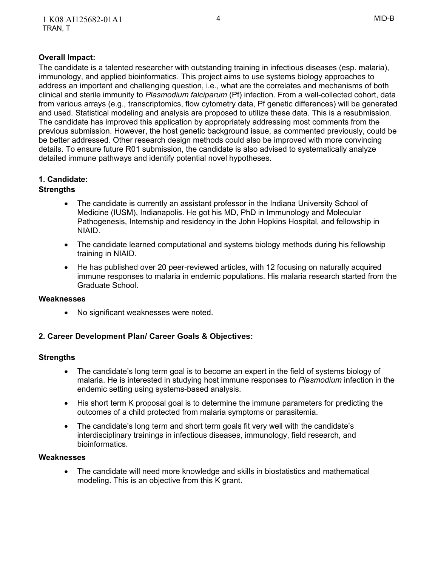## **Overall Impact:**

 The candidate is a talented researcher with outstanding training in infectious diseases (esp. malaria), immunology, and applied bioinformatics. This project aims to use systems biology approaches to address an important and challenging question, i.e., what are the correlates and mechanisms of both clinical and sterile immunity to *Plasmodium falciparum* (Pf) infection. From a well-collected cohort, data from various arrays (e.g., transcriptomics, flow cytometry data, Pf genetic differences) will be generated and used. Statistical modeling and analysis are proposed to utilize these data. This is a resubmission. The candidate has improved this application by appropriately addressing most comments from the previous submission. However, the host genetic background issue, as commented previously, could be be better addressed. Other research design methods could also be improved with more convincing details. To ensure future R01 submission, the candidate is also advised to systematically analyze detailed immune pathways and identify potential novel hypotheses.

## **1. Candidate:**

## **Strengths**

- The candidate is currently an assistant professor in the Indiana University School of Medicine (IUSM), Indianapolis. He got his MD, PhD in Immunology and Molecular Pathogenesis, Internship and residency in the John Hopkins Hospital, and fellowship in NIAID.
- The candidate learned computational and systems biology methods during his fellowship training in NIAID.
- He has published over 20 peer-reviewed articles, with 12 focusing on naturally acquired immune responses to malaria in endemic populations. His malaria research started from the Graduate School.

### **Weaknesses**

 No significant weaknesses were noted.

## **2. Career Development Plan/ Career Goals & Objectives:**

## **Strengths**

- The candidate's long term goal is to become an expert in the field of systems biology of malaria. He is interested in studying host immune responses to *Plasmodium* infection in the endemic setting using systems-based analysis.
- His short term K proposal goal is to determine the immune parameters for predicting the outcomes of a child protected from malaria symptoms or parasitemia.
- The candidate's long term and short term goals fit very well with the candidate's interdisciplinary trainings in infectious diseases, immunology, field research, and bioinformatics.

### **Weaknesses**

 The candidate will need more knowledge and skills in biostatistics and mathematical modeling. This is an objective from this K grant.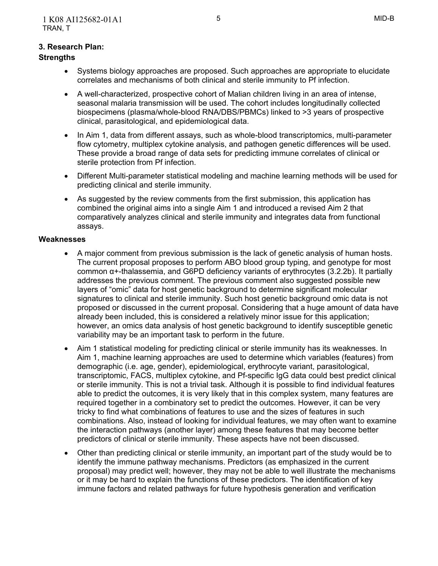## **3. Research Plan:**

## **Strengths**

- Systems biology approaches are proposed. Such approaches are appropriate to elucidate correlates and mechanisms of both clinical and sterile immunity to Pf infection.
- A well-characterized, prospective cohort of Malian children living in an area of intense, seasonal malaria transmission will be used. The cohort includes longitudinally collected biospecimens (plasma/whole-blood RNA/DBS/PBMCs) linked to >3 years of prospective clinical, parasitological, and epidemiological data.
- In Aim 1, data from different assays, such as whole-blood transcriptomics, multi-parameter flow cytometry, multiplex cytokine analysis, and pathogen genetic differences will be used. These provide a broad range of data sets for predicting immune correlates of clinical or sterile protection from Pf infection.
- Different Multi-parameter statistical modeling and machine learning methods will be used for predicting clinical and sterile immunity.
- As suggested by the review comments from the first submission, this application has combined the original aims into a single Aim 1 and introduced a revised Aim 2 that comparatively analyzes clinical and sterile immunity and integrates data from functional assays.

#### **Weaknesses**

- A major comment from previous submission is the lack of genetic analysis of human hosts. The current proposal proposes to perform ABO blood group typing, and genotype for most common α+-thalassemia, and G6PD deficiency variants of erythrocytes (3.2.2b). It partially addresses the previous comment. The previous comment also suggested possible new layers of "omic" data for host genetic background to determine significant molecular signatures to clinical and sterile immunity. Such host genetic background omic data is not proposed or discussed in the current proposal. Considering that a huge amount of data have already been included, this is considered a relatively minor issue for this application; however, an omics data analysis of host genetic background to identify susceptible genetic variability may be an important task to perform in the future.
- Aim 1 statistical modeling for predicting clinical or sterile immunity has its weaknesses. In Aim 1, machine learning approaches are used to determine which variables (features) from demographic (i.e. age, gender), epidemiological, erythrocyte variant, parasitological, transcriptomic, FACS, multiplex cytokine, and Pf-specific IgG data could best predict clinical or sterile immunity. This is not a trivial task. Although it is possible to find individual features able to predict the outcomes, it is very likely that in this complex system, many features are required together in a combinatory set to predict the outcomes. However, it can be very tricky to find what combinations of features to use and the sizes of features in such combinations. Also, instead of looking for individual features, we may often want to examine the interaction pathways (another layer) among these features that may become better predictors of clinical or sterile immunity. These aspects have not been discussed.
- Other than predicting clinical or sterile immunity, an important part of the study would be to identify the immune pathway mechanisms. Predictors (as emphasized in the current proposal) may predict well; however, they may not be able to well illustrate the mechanisms or it may be hard to explain the functions of these predictors. The identification of key immune factors and related pathways for future hypothesis generation and verification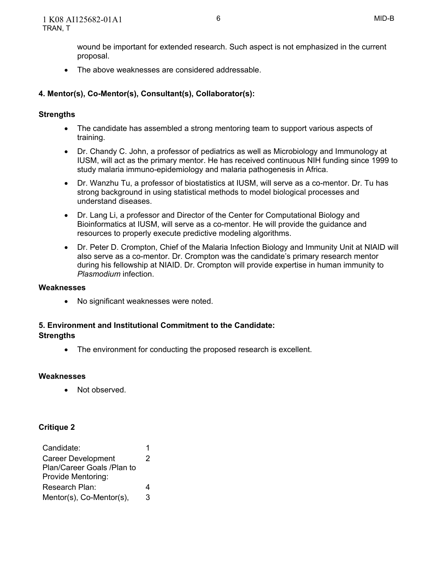wound be important for extended research. Such aspect is not emphasized in the current proposal.

 The above weaknesses are considered addressable.

# **4. Mentor(s), Co-Mentor(s), Consultant(s), Collaborator(s):**

## **Strengths**

- The candidate has assembled a strong mentoring team to support various aspects of training.
- Dr. Chandy C. John, a professor of pediatrics as well as Microbiology and Immunology at IUSM, will act as the primary mentor. He has received continuous NIH funding since 1999 to study malaria immuno-epidemiology and malaria pathogenesis in Africa.
- Dr. Wanzhu Tu, a professor of biostatistics at IUSM, will serve as a co-mentor. Dr. Tu has strong background in using statistical methods to model biological processes and understand diseases.
- Dr. Lang Li, a professor and Director of the Center for Computational Biology and Bioinformatics at IUSM, will serve as a co-mentor. He will provide the guidance and resources to properly execute predictive modeling algorithms.
- Dr. Peter D. Crompton, Chief of the Malaria Infection Biology and Immunity Unit at NIAID will also serve as a co-mentor. Dr. Crompton was the candidate's primary research mentor during his fellowship at NIAID. Dr. Crompton will provide expertise in human immunity to *Plasmodium* infection.

## **Weaknesses**

 No significant weaknesses were noted.

## **5. Environment and Institutional Commitment to the Candidate: Strengths**

 The environment for conducting the proposed research is excellent.

### **Weaknesses**

• Not observed.

## **Critique 2**

| Candidate:                 |  |  |
|----------------------------|--|--|
| <b>Career Development</b>  |  |  |
| Plan/Career Goals /Plan to |  |  |
| Provide Mentoring:         |  |  |
| Research Plan:             |  |  |
| Mentor(s), Co-Mentor(s),   |  |  |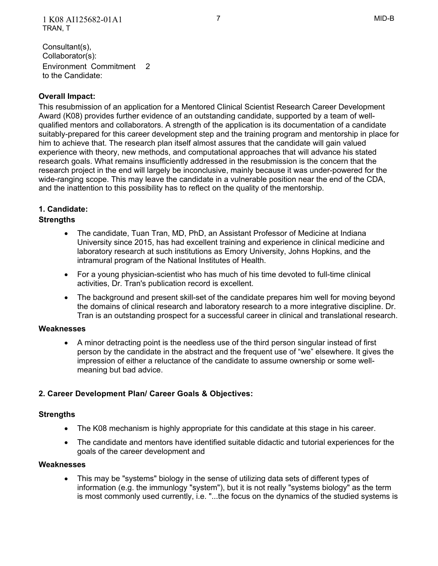Environment Commitment 2 to the Candidate: Consultant(s), Collaborator(s):

## **Overall Impact:**

 This resubmission of an application for a Mentored Clinical Scientist Research Career Development Award (K08) provides further evidence of an outstanding candidate, supported by a team of well- qualified mentors and collaborators. A strength of the application is its documentation of a candidate suitably-prepared for this career development step and the training program and mentorship in place for him to achieve that. The research plan itself almost assures that the candidate will gain valued experience with theory, new methods, and computational approaches that will advance his stated research goals. What remains insufficiently addressed in the resubmission is the concern that the research project in the end will largely be inconclusive, mainly because it was under-powered for the wide-ranging scope. This may leave the candidate in a vulnerable position near the end of the CDA, and the inattention to this possibility has to reflect on the quality of the mentorship.

## **1. Candidate:**

## **Strengths**

- The candidate, Tuan Tran, MD, PhD, an Assistant Professor of Medicine at Indiana University since 2015, has had excellent training and experience in clinical medicine and laboratory research at such institutions as Emory University, Johns Hopkins, and the intramural program of the National Institutes of Health.
- For a young physician-scientist who has much of his time devoted to full-time clinical activities, Dr. Tran's publication record is excellent.
- The background and present skill-set of the candidate prepares him well for moving beyond the domains of clinical research and laboratory research to a more integrative discipline. Dr. Tran is an outstanding prospect for a successful career in clinical and translational research.

### **Weaknesses**

 A minor detracting point is the needless use of the third person singular instead of first person by the candidate in the abstract and the frequent use of "we" elsewhere. It gives the impression of either a reluctance of the candidate to assume ownership or some well-meaning but bad advice.

## **2. Career Development Plan/ Career Goals & Objectives:**

## **Strengths**

- The K08 mechanism is highly appropriate for this candidate at this stage in his career.
- The candidate and mentors have identified suitable didactic and tutorial experiences for the goals of the career development and

### **Weaknesses**

 This may be "systems" biology in the sense of utilizing data sets of different types of information (e.g. the immunlogy "system"), but it is not really "systems biology" as the term is most commonly used currently, i.e. "...the focus on the dynamics of the studied systems is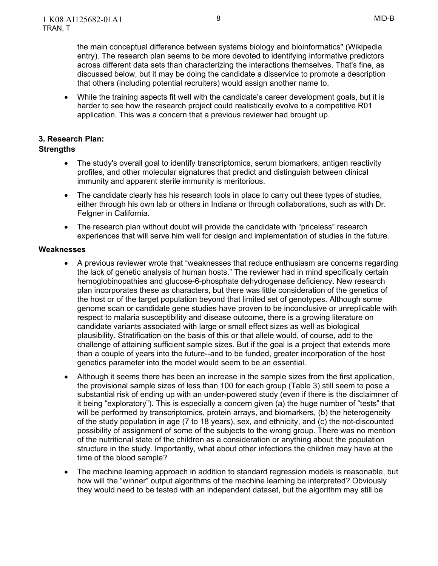the main conceptual difference between systems biology and bioinformatics" (Wikipedia entry). The research plan seems to be more devoted to identifying informative predictors across different data sets than characterizing the interactions themselves. That's fine, as discussed below, but it may be doing the candidate a disservice to promote a description that others (including potential recruiters) would assign another name to.

 While the training aspects fit well with the candidate's career development goals, but it is harder to see how the research project could realistically evolve to a competitive R01 application. This was a concern that a previous reviewer had brought up.

## **3. Research Plan:**

## **Strengths**

- The study's overall goal to identify transcriptomics, serum biomarkers, antigen reactivity profiles, and other molecular signatures that predict and distinguish between clinical immunity and apparent sterile immunity is meritorious.
- The candidate clearly has his research tools in place to carry out these types of studies, either through his own lab or others in Indiana or through collaborations, such as with Dr. Felgner in California.
- The research plan without doubt will provide the candidate with "priceless" research experiences that will serve him well for design and implementation of studies in the future.

#### **Weaknesses**

- A previous reviewer wrote that "weaknesses that reduce enthusiasm are concerns regarding the lack of genetic analysis of human hosts." The reviewer had in mind specifically certain hemoglobinopathies and glucose-6-phosphate dehydrogenase deficiency. New research plan incorporates these as characters, but there was little consideration of the genetics of the host or of the target population beyond that limited set of genotypes. Although some genome scan or candidate gene studies have proven to be inconclusive or unreplicable with respect to malaria susceptibility and disease outcome, there is a growing literature on candidate variants associated with large or small effect sizes as well as biological plausibility. Stratification on the basis of this or that allele would, of course, add to the challenge of attaining sufficient sample sizes. But if the goal is a project that extends more than a couple of years into the future--and to be funded, greater incorporation of the host genetics parameter into the model would seem to be an essential.
- Although it seems there has been an increase in the sample sizes from the first application, the provisional sample sizes of less than 100 for each group (Table 3) still seem to pose a substantial risk of ending up with an under-powered study (even if there is the disclaimner of it being "exploratory"). This is especially a concern given (a) the huge number of "tests" that will be performed by transcriptomics, protein arrays, and biomarkers, (b) the heterogeneity of the study population in age (7 to 18 years), sex, and ethnicity, and (c) the not-discounted possibility of assignment of some of the subjects to the wrong group. There was no mention of the nutritional state of the children as a consideration or anything about the population structure in the study. Importantly, what about other infections the children may have at the time of the blood sample?
- The machine learning approach in addition to standard regression models is reasonable, but how will the "winner" output algorithms of the machine learning be interpreted? Obviously they would need to be tested with an independent dataset, but the algorithm may still be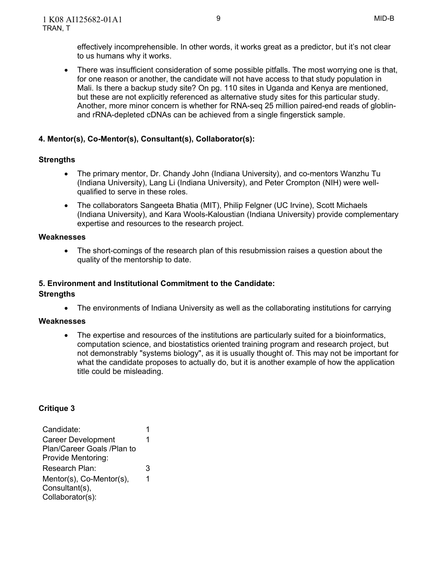There was insufficient consideration of some possible pitfalls. The most worrying one is that, for one reason or another, the candidate will not have access to that study population in Mali. Is there a backup study site? On pg. 110 sites in Uganda and Kenya are mentioned, but these are not explicitly referenced as alternative study sites for this particular study. Another, more minor concern is whether for RNA-seq 25 million paired-end reads of globlin-and rRNA-depleted cDNAs can be achieved from a single fingerstick sample.

# **4. Mentor(s), Co-Mentor(s), Consultant(s), Collaborator(s):**

# **Strengths**

- The primary mentor, Dr. Chandy John (Indiana University), and co-mentors Wanzhu Tu (Indiana University), Lang Li (Indiana University), and Peter Crompton (NIH) were well-qualified to serve in these roles.
- The collaborators Sangeeta Bhatia (MIT), Philip Felgner (UC Irvine), Scott Michaels (Indiana University), and Kara Wools-Kaloustian (Indiana University) provide complementary expertise and resources to the research project.

## **Weaknesses**

 The short-comings of the research plan of this resubmission raises a question about the quality of the mentorship to date.

# **5. Environment and Institutional Commitment to the Candidate:**

## **Strengths**

The environments of Indiana University as well as the collaborating institutions for carrying

## **Weaknesses**

 The expertise and resources of the institutions are particularly suited for a bioinformatics, computation science, and biostatistics oriented training program and research project, but not demonstrably "systems biology", as it is usually thought of. This may not be important for what the candidate proposes to actually do, but it is another example of how the application title could be misleading.

## **Critique 3**

| 1 |  |
|---|--|
| 1 |  |
|   |  |
|   |  |
| 3 |  |
| 1 |  |
|   |  |
|   |  |
|   |  |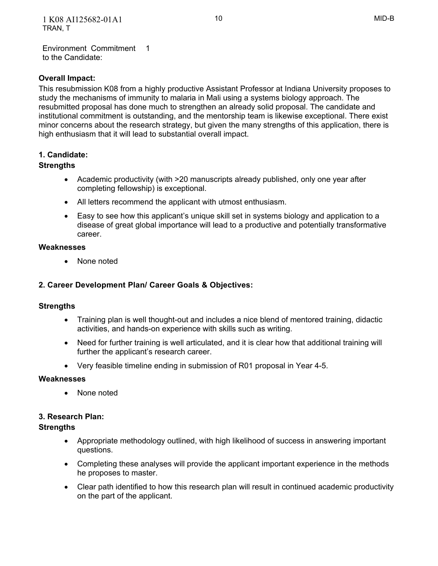Environment Commitment 1 to the Candidate:

## **Overall Impact:**

 This resubmission K08 from a highly productive Assistant Professor at Indiana University proposes to study the mechanisms of immunity to malaria in Mali using a systems biology approach. The resubmitted proposal has done much to strengthen an already solid proposal. The candidate and institutional commitment is outstanding, and the mentorship team is likewise exceptional. There exist minor concerns about the research strategy, but given the many strengths of this application, there is high enthusiasm that it will lead to substantial overall impact.

## **1. Candidate:**

## **Strengths**

- Academic productivity (with >20 manuscripts already published, only one year after completing fellowship) is exceptional.
- All letters recommend the applicant with utmost enthusiasm.
- Easy to see how this applicant's unique skill set in systems biology and application to a disease of great global importance will lead to a productive and potentially transformative career.

## **Weaknesses**

• None noted

## **2. Career Development Plan/ Career Goals & Objectives:**

## **Strengths**

- Training plan is well thought-out and includes a nice blend of mentored training, didactic activities, and hands-on experience with skills such as writing.
- Need for further training is well articulated, and it is clear how that additional training will further the applicant's research career.
- Very feasible timeline ending in submission of R01 proposal in Year 4-5.

### **Weaknesses**

 None noted

## **3. Research Plan:**

## **Strengths**

- Appropriate methodology outlined, with high likelihood of success in answering important questions.
- Completing these analyses will provide the applicant important experience in the methods he proposes to master.
- Clear path identified to how this research plan will result in continued academic productivity on the part of the applicant.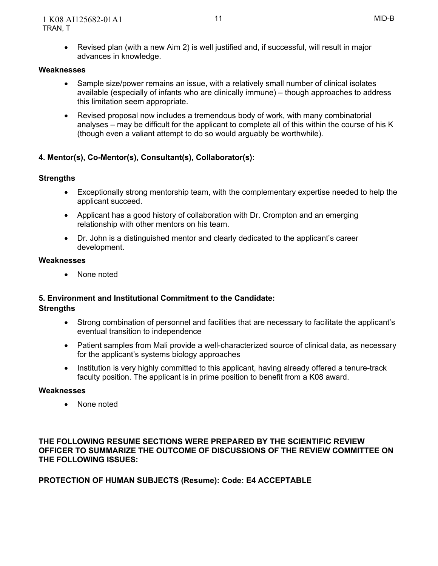Revised plan (with a new Aim 2) is well justified and, if successful, will result in major advances in knowledge.

## **Weaknesses**

- Sample size/power remains an issue, with a relatively small number of clinical isolates available (especially of infants who are clinically immune) – though approaches to address this limitation seem appropriate.
- Revised proposal now includes a tremendous body of work, with many combinatorial analyses – may be difficult for the applicant to complete all of this within the course of his K (though even a valiant attempt to do so would arguably be worthwhile).

## **4. Mentor(s), Co-Mentor(s), Consultant(s), Collaborator(s):**

## **Strengths**

- Exceptionally strong mentorship team, with the complementary expertise needed to help the applicant succeed.
- Applicant has a good history of collaboration with Dr. Crompton and an emerging relationship with other mentors on his team.
- Dr. John is a distinguished mentor and clearly dedicated to the applicant's career development.

### **Weaknesses**

 None noted

## **5. Environment and Institutional Commitment to the Candidate:**

## **Strengths**

- Strong combination of personnel and facilities that are necessary to facilitate the applicant's eventual transition to independence
- Patient samples from Mali provide a well-characterized source of clinical data, as necessary for the applicant's systems biology approaches
- Institution is very highly committed to this applicant, having already offered a tenure-track faculty position. The applicant is in prime position to benefit from a K08 award.

### **Weaknesses**

• None noted

 **THE FOLLOWING RESUME SECTIONS WERE PREPARED BY THE SCIENTIFIC REVIEW OFFICER TO SUMMARIZE THE OUTCOME OF DISCUSSIONS OF THE REVIEW COMMITTEE ON THE FOLLOWING ISSUES:** 

 **PROTECTION OF HUMAN SUBJECTS (Resume): Code: E4 ACCEPTABLE**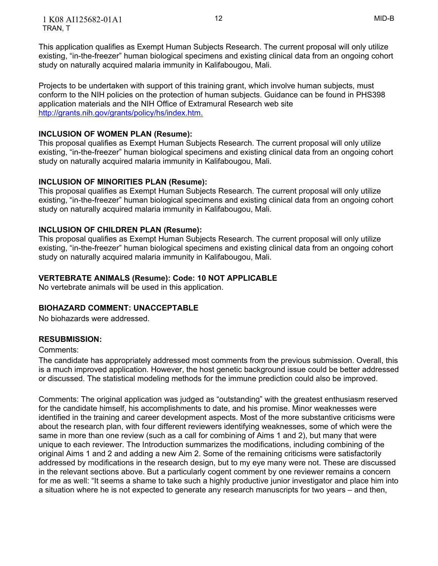1 K08 AI125682-01A1 12 MID-B TRAN, T

 This application qualifies as Exempt Human Subjects Research. The current proposal will only utilize existing, "in-the-freezer" human biological specimens and existing clinical data from an ongoing cohort study on naturally acquired malaria immunity in Kalifabougou, Mali.

 Projects to be undertaken with support of this training grant, which involve human subjects, must conform to the NIH policies on the protection of human subjects. Guidance can be found in PHS398 application materials and the NIH Office of Extramural Research web site [http://grants.nih.gov/grants/policy/hs/index.htm.](http://grants.nih.gov/grants/policy/hs/index.htm)

### **INCLUSION OF WOMEN PLAN (Resume):**

 This proposal qualifies as Exempt Human Subjects Research. The current proposal will only utilize existing, "in-the-freezer" human biological specimens and existing clinical data from an ongoing cohort study on naturally acquired malaria immunity in Kalifabougou, Mali.

## **INCLUSION OF MINORITIES PLAN (Resume):**

 This proposal qualifies as Exempt Human Subjects Research. The current proposal will only utilize existing, "in-the-freezer" human biological specimens and existing clinical data from an ongoing cohort study on naturally acquired malaria immunity in Kalifabougou, Mali.

## **INCLUSION OF CHILDREN PLAN (Resume):**

 This proposal qualifies as Exempt Human Subjects Research. The current proposal will only utilize existing, "in-the-freezer" human biological specimens and existing clinical data from an ongoing cohort study on naturally acquired malaria immunity in Kalifabougou, Mali.

## **VERTEBRATE ANIMALS (Resume): Code: 10 NOT APPLICABLE**

No vertebrate animals will be used in this application.

### **BIOHAZARD COMMENT: UNACCEPTABLE**

No biohazards were addressed.

### **RESUBMISSION:**

### Comments:

 The candidate has appropriately addressed most comments from the previous submission. Overall, this is a much improved application. However, the host genetic background issue could be better addressed or discussed. The statistical modeling methods for the immune prediction could also be improved.

 Comments: The original application was judged as "outstanding" with the greatest enthusiasm reserved for the candidate himself, his accomplishments to date, and his promise. Minor weaknesses were identified in the training and career development aspects. Most of the more substantive criticisms were about the research plan, with four different reviewers identifying weaknesses, some of which were the same in more than one review (such as a call for combining of Aims 1 and 2), but many that were unique to each reviewer. The Introduction summarizes the modifications, including combining of the original Aims 1 and 2 and adding a new Aim 2. Some of the remaining criticisms were satisfactorily addressed by modifications in the research design, but to my eye many were not. These are discussed in the relevant sections above. But a particularly cogent comment by one reviewer remains a concern for me as well: "It seems a shame to take such a highly productive junior investigator and place him into a situation where he is not expected to generate any research manuscripts for two years – and then,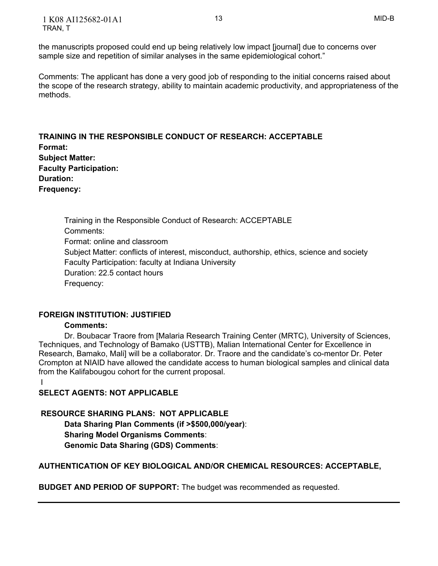the manuscripts proposed could end up being relatively low impact [journal] due to concerns over sample size and repetition of similar analyses in the same epidemiological cohort."

 Comments: The applicant has done a very good job of responding to the initial concerns raised about the scope of the research strategy, ability to maintain academic productivity, and appropriateness of the methods.

 **Subject Matter: Duration: Frequency: TRAINING IN THE RESPONSIBLE CONDUCT OF RESEARCH: ACCEPTABLE Format: Faculty Participation:**

 Training in the Responsible Conduct of Research: ACCEPTABLE Format: online and classroom Subject Matter: conflicts of interest, misconduct, authorship, ethics, science and society Faculty Participation: faculty at Indiana University Duration: 22.5 contact hours Comments: Frequency:

## **FOREIGN INSTITUTION: JUSTIFIED**

### **Comments:**

 Dr. Boubacar Traore from [Malaria Research Training Center (MRTC), University of Sciences, Techniques, and Technology of Bamako (USTTB), Malian International Center for Excellence in Research, Bamako, Mali] will be a collaborator. Dr. Traore and the candidate's co-mentor Dr. Peter Crompton at NIAID have allowed the candidate access to human biological samples and clinical data from the Kalifabougou cohort for the current proposal.

I

 **SELECT AGENTS: NOT APPLICABLE** 

## **RESOURCE SHARING PLANS: NOT APPLICABLE**

 **Data Sharing Plan Comments (if >\$500,000/year)**:  **Sharing Model Organisms Comments**:  **Genomic Data Sharing (GDS) Comments**:

# **AUTHENTICATION OF KEY BIOLOGICAL AND/OR CHEMICAL RESOURCES: ACCEPTABLE,**

 **BUDGET AND PERIOD OF SUPPORT:** The budget was recommended as requested.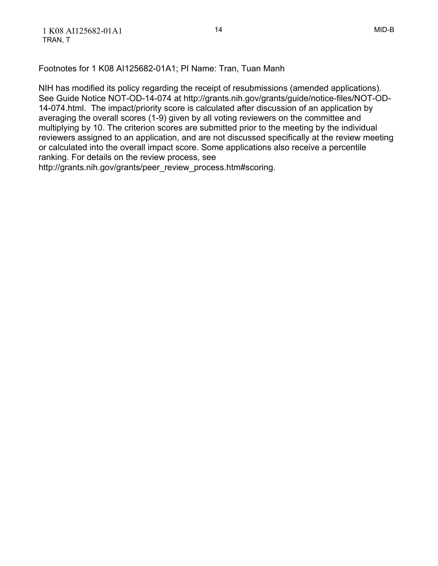Footnotes for 1 K08 AI125682-01A1; PI Name: Tran, Tuan Manh

 NIH has modified its policy regarding the receipt of resubmissions (amended applications). See Guide Notice NOT-OD-14-074 at http://grants.nih.gov/grants/guide/notice-files/NOT-OD- 14-074.html. The impact/priority score is calculated after discussion of an application by averaging the overall scores (1-9) given by all voting reviewers on the committee and multiplying by 10. The criterion scores are submitted prior to the meeting by the individual reviewers assigned to an application, and are not discussed specifically at the review meeting or calculated into the overall impact score. Some applications also receive a percentile ranking. For details on the review process, see

http://grants.nih.gov/grants/peer\_review\_process.htm#scoring.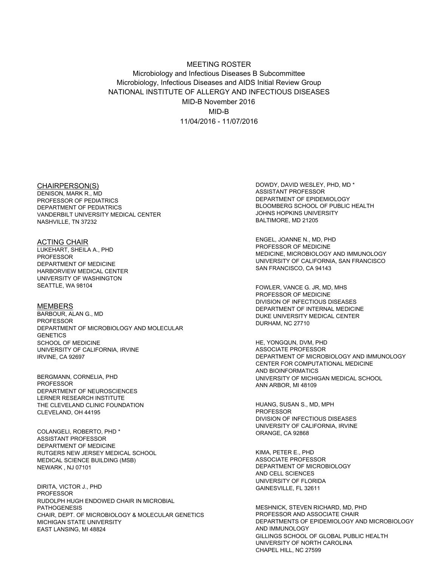## Microbiology and Infectious Diseases B Subcommittee Microbiology, Infectious Diseases and AIDS Initial Review Group NATIONAL INSTITUTE OF ALLERGY AND INFECTIOUS DISEASES MID-B November 2016 11/04/2016 - 11/07/2016 MEETING ROSTER MID-B

#### CHAIRPERSON(S)

 DENISON, MARK R., MD PROFESSOR OF PEDIATRICS DEPARTMENT OF PEDIATRICS VANDERBILT UNIVERSITY MEDICAL CENTER NASHVILLE, TN 37232

 LUKEHART, SHEILA A., PHD DEPARTMENT OF MEDICINE HARBORVIEW MEDICAL CENTER UNIVERSITY OF WASHINGTON SEATTLE, WA 98104 ACTING CHAIR PROFESSOR

 BARBOUR, ALAN G., MD DEPARTMENT OF MICROBIOLOGY AND MOLECULAR SCHOOL OF MEDICINE UNIVERSITY OF CALIFORNIA, IRVINE IRVINE, CA 92697 MEMBERS PROFESSOR **GENETICS** 

 DEPARTMENT OF NEUROSCIENCES THE CLEVELAND CLINIC FOUNDATION CLEVELAND, OH 44195 BERGMANN, CORNELIA, PHD **PROFESSOR** LERNER RESEARCH INSTITUTE

 DEPARTMENT OF MEDICINE RUTGERS NEW JERSEY MEDICAL SCHOOL MEDICAL SCIENCE BUILDING (MSB) NEWARK , NJ 07101 COLANGELI, ROBERTO, PHD \* ASSISTANT PROFESSOR

 RUDOLPH HUGH ENDOWED CHAIR IN MICROBIAL CHAIR, DEPT. OF MICROBIOLOGY & MOLECULAR GENETICS MICHIGAN STATE UNIVERSITY EAST LANSING, MI 48824 DIRITA, VICTOR J., PHD PROFESSOR PATHOGENESIS

 DOWDY, DAVID WESLEY, PHD, MD \* DEPARTMENT OF EPIDEMIOLOGY BLOOMBERG SCHOOL OF PUBLIC HEALTH JOHNS HOPKINS UNIVERSITY BALTIMORE, MD 21205 ASSISTANT PROFESSOR

 ENGEL, JOANNE N., MD, PHD PROFESSOR OF MEDICINE MEDICINE, MICROBIOLOGY AND IMMUNOLOGY UNIVERSITY OF CALIFORNIA, SAN FRANCISCO SAN FRANCISCO, CA 94143

 PROFESSOR OF MEDICINE DIVISION OF INFECTIOUS DISEASES DEPARTMENT OF INTERNAL MEDICINE DUKE UNIVERSITY MEDICAL CENTER DURHAM, NC 27710 FOWLER, VANCE G. JR, MD, MHS

 HE, YONGQUN, DVM, PHD DEPARTMENT OF MICROBIOLOGY AND IMMUNOLOGY CENTER FOR COMPUTATIONAL MEDICINE UNIVERSITY OF MICHIGAN MEDICAL SCHOOL ANN ARBOR, MI 48109 ASSOCIATE PROFESSOR AND BIOINFORMATICS

 HUANG, SUSAN S., MD, MPH DIVISION OF INFECTIOUS DISEASES UNIVERSITY OF CALIFORNIA, IRVINE ORANGE, CA 92868 PROFESSOR

 KIMA, PETER E., PHD DEPARTMENT OF MICROBIOLOGY AND CELL SCIENCES UNIVERSITY OF FLORIDA GAINESVILLE, FL 32611 ASSOCIATE PROFESSOR

 MESHNICK, STEVEN RICHARD, MD, PHD PROFESSOR AND ASSOCIATE CHAIR DEPARTMENTS OF EPIDEMIOLOGY AND MICROBIOLOGY GILLINGS SCHOOL OF GLOBAL PUBLIC HEALTH UNIVERSITY OF NORTH CAROLINA CHAPEL HILL, NC 27599 AND IMMUNOLOGY